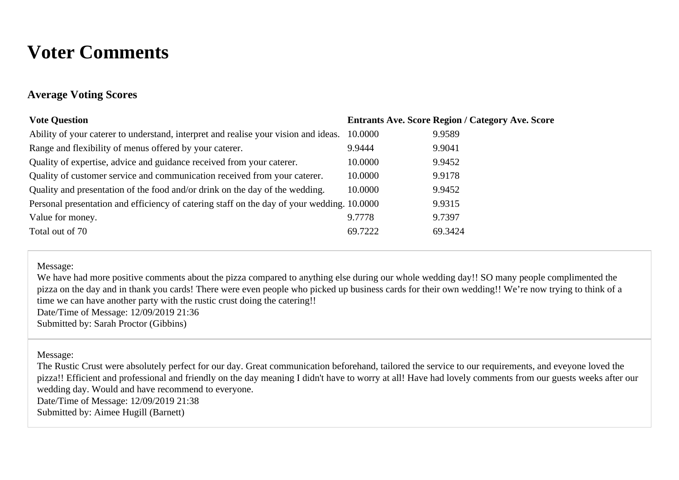# **Voter Comments**

### **Average Voting Scores**

| <b>Vote Question</b>                                                                       |         | <b>Entrants Ave. Score Region / Category Ave. Score</b> |
|--------------------------------------------------------------------------------------------|---------|---------------------------------------------------------|
| Ability of your caterer to understand, interpret and realise your vision and ideas.        | 10.0000 | 9.9589                                                  |
| Range and flexibility of menus offered by your caterer.                                    | 9.9444  | 9.9041                                                  |
| Quality of expertise, advice and guidance received from your caterer.                      | 10.0000 | 9.9452                                                  |
| Quality of customer service and communication received from your caterer.                  | 10.0000 | 9.9178                                                  |
| Quality and presentation of the food and/or drink on the day of the wedding.               | 10.0000 | 9.9452                                                  |
| Personal presentation and efficiency of catering staff on the day of your wedding. 10.0000 |         | 9.9315                                                  |
| Value for money.                                                                           | 9.7778  | 9.7397                                                  |
| Total out of 70                                                                            | 69.7222 | 69.3424                                                 |
|                                                                                            |         |                                                         |

Message:

We have had more positive comments about the pizza compared to anything else during our whole wedding day!! SO many people complimented the pizza on the day and in thank you cards! There were even people who picked up business cards for their own wedding!! We're now trying to think of a time we can have another party with the rustic crust doing the catering!!

Date/Time of Message: 12/09/2019 21:36

Submitted by: Sarah Proctor (Gibbins)

Message:

The Rustic Crust were absolutely perfect for our day. Great communication beforehand, tailored the service to our requirements, and eveyone loved the pizza!! Efficient and professional and friendly on the day meaning I didn't have to worry at all! Have had lovely comments from our guests weeks after our wedding day. Would and have recommend to everyone. Date/Time of Message: 12/09/2019 21:38 Submitted by: Aimee Hugill (Barnett)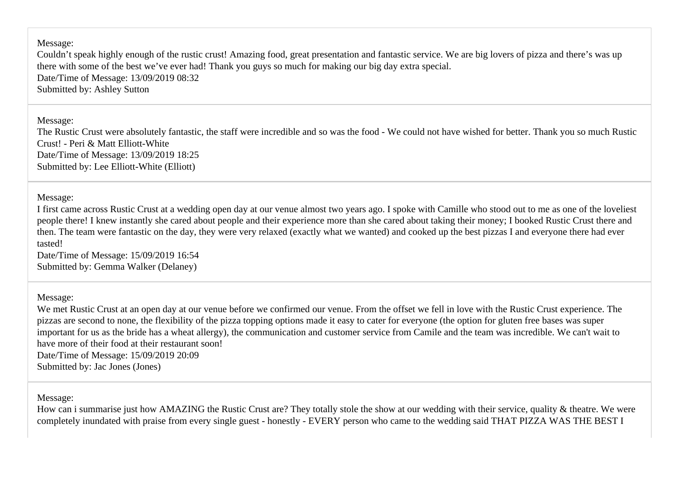Message:

Couldn't speak highly enough of the rustic crust! Amazing food, great presentation and fantastic service. We are big lovers of pizza and there's was up there with some of the best we've ever had! Thank you guys so much for making our big day extra special. Date/Time of Message: 13/09/2019 08:32 Submitted by: Ashley Sutton

Message:

The Rustic Crust were absolutely fantastic, the staff were incredible and so was the food - We could not have wished for better. Thank you so much Rustic Crust! - Peri & Matt Elliott-White Date/Time of Message: 13/09/2019 18:25 Submitted by: Lee Elliott-White (Elliott)

Message:

I first came across Rustic Crust at a wedding open day at our venue almost two years ago. I spoke with Camille who stood out to me as one of the loveliest people there! I knew instantly she cared about people and their experience more than she cared about taking their money; I booked Rustic Crust there and then. The team were fantastic on the day, they were very relaxed (exactly what we wanted) and cooked up the best pizzas I and everyone there had ever tasted!

Date/Time of Message: 15/09/2019 16:54 Submitted by: Gemma Walker (Delaney)

Message:

We met Rustic Crust at an open day at our venue before we confirmed our venue. From the offset we fell in love with the Rustic Crust experience. The pizzas are second to none, the flexibility of the pizza topping options made it easy to cater for everyone (the option for gluten free bases was super important for us as the bride has a wheat allergy), the communication and customer service from Camile and the team was incredible. We can't wait to have more of their food at their restaurant soon! Date/Time of Message: 15/09/2019 20:09

Submitted by: Jac Jones (Jones)

Message:

How can i summarise just how AMAZING the Rustic Crust are? They totally stole the show at our wedding with their service, quality & theatre. We were completely inundated with praise from every single guest - honestly - EVERY person who came to the wedding said THAT PIZZA WAS THE BEST I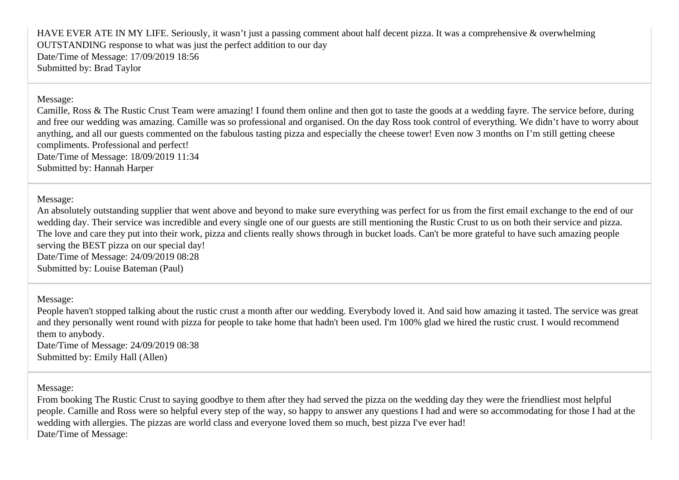HAVE EVER ATE IN MY LIFE. Seriously, it wasn't just a passing comment about half decent pizza. It was a comprehensive & overwhelming OUTSTANDING response to what was just the perfect addition to our day Date/Time of Message: 17/09/2019 18:56 Submitted by: Brad Taylor

#### Message:

Camille, Ross & The Rustic Crust Team were amazing! I found them online and then got to taste the goods at a wedding fayre. The service before, during and free our wedding was amazing. Camille was so professional and organised. On the day Ross took control of everything. We didn't have to worry about anything, and all our guests commented on the fabulous tasting pizza and especially the cheese tower! Even now 3 months on I'm still getting cheese compliments. Professional and perfect! Date/Time of Message: 18/09/2019 11:34

Submitted by: Hannah Harper

#### Message:

An absolutely outstanding supplier that went above and beyond to make sure everything was perfect for us from the first email exchange to the end of our wedding day. Their service was incredible and every single one of our guests are still mentioning the Rustic Crust to us on both their service and pizza. The love and care they put into their work, pizza and clients really shows through in bucket loads. Can't be more grateful to have such amazing people serving the BEST pizza on our special day! Date/Time of Message: 24/09/2019 08:28

Submitted by: Louise Bateman (Paul)

#### Message:

People haven't stopped talking about the rustic crust a month after our wedding. Everybody loved it. And said how amazing it tasted. The service was great and they personally went round with pizza for people to take home that hadn't been used. I'm 100% glad we hired the rustic crust. I would recommend them to anybody.

Date/Time of Message: 24/09/2019 08:38 Submitted by: Emily Hall (Allen)

Message:

From booking The Rustic Crust to saying goodbye to them after they had served the pizza on the wedding day they were the friendliest most helpful people. Camille and Ross were so helpful every step of the way, so happy to answer any questions I had and were so accommodating for those I had at the wedding with allergies. The pizzas are world class and everyone loved them so much, best pizza I've ever had! Date/Time of Message: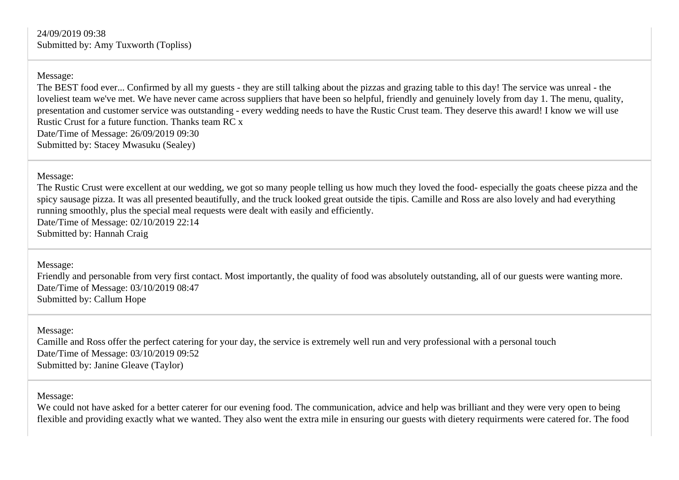Message:

The BEST food ever... Confirmed by all my guests - they are still talking about the pizzas and grazing table to this day! The service was unreal - the loveliest team we've met. We have never came across suppliers that have been so helpful, friendly and genuinely lovely from day 1. The menu, quality, presentation and customer service was outstanding - every wedding needs to have the Rustic Crust team. They deserve this award! I know we will use Rustic Crust for a future function. Thanks team RC x Date/Time of Message: 26/09/2019 09:30 Submitted by: Stacey Mwasuku (Sealey)

Message:

The Rustic Crust were excellent at our wedding, we got so many people telling us how much they loved the food- especially the goats cheese pizza and the spicy sausage pizza. It was all presented beautifully, and the truck looked great outside the tipis. Camille and Ross are also lovely and had everything running smoothly, plus the special meal requests were dealt with easily and efficiently. Date/Time of Message: 02/10/2019 22:14

Submitted by: Hannah Craig

Message:

Friendly and personable from very first contact. Most importantly, the quality of food was absolutely outstanding, all of our guests were wanting more. Date/Time of Message: 03/10/2019 08:47 Submitted by: Callum Hope

Message: Camille and Ross offer the perfect catering for your day, the service is extremely well run and very professional with a personal touch Date/Time of Message: 03/10/2019 09:52 Submitted by: Janine Gleave (Taylor)

Message:

We could not have asked for a better caterer for our evening food. The communication, advice and help was brilliant and they were very open to being flexible and providing exactly what we wanted. They also went the extra mile in ensuring our guests with dietery requirments were catered for. The food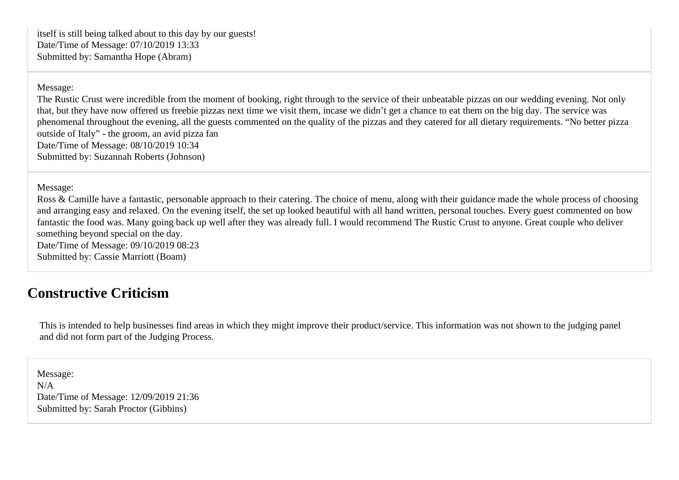itself is still being talked about to this day by our guests! Date/Time of Message: 07/10/2019 13:33 Submitted by: Samantha Hope (Abram)

Message:

The Rustic Crust were incredible from the moment of booking, right through to the service of their unbeatable pizzas on our wedding evening. Not only that, but they have now offered us freebie pizzas next time we visit them, incase we didn't get a chance to eat them on the big day. The service was phenomenal throughout the evening, all the guests commented on the quality of the pizzas and they catered for all dietary requirements. "No better pizza outside of Italy" - the groom, an avid pizza fan Date/Time of Message: 08/10/2019 10:34 Submitted by: Suzannah Roberts (Johnson)

Message:

Ross & Camille have a fantastic, personable approach to their catering. The choice of menu, along with their guidance made the whole process of choosing and arranging easy and relaxed. On the evening itself, the set up looked beautiful with all hand written, personal touches. Every guest commented on how fantastic the food was. Many going back up well after they was already full. I would recommend The Rustic Crust to anyone. Great couple who deliver something beyond special on the day. Date/Time of Message: 09/10/2019 08:23

Submitted by: Cassie Marriott (Boam)

## **Constructive Criticism**

This is intended to help businesses find areas in which they might improve their product/service. This information was not shown to the judging panel and did not form part of the Judging Process.

Message: N/A Date/Time of Message: 12/09/2019 21:36 Submitted by: Sarah Proctor (Gibbins)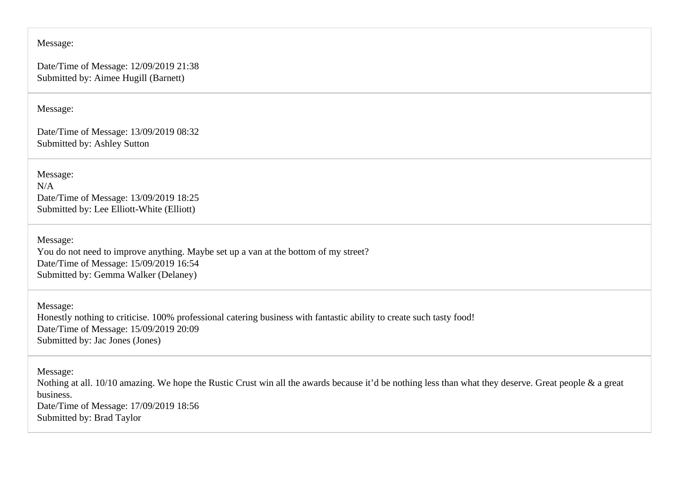#### Message:

Date/Time of Message: 12/09/2019 21:38 Submitted by: Aimee Hugill (Barnett)

Message:

Date/Time of Message: 13/09/2019 08:32 Submitted by: Ashley Sutton

Message: N/A Date/Time of Message: 13/09/2019 18:25 Submitted by: Lee Elliott-White (Elliott)

Message: You do not need to improve anything. Maybe set up a van at the bottom of my street? Date/Time of Message: 15/09/2019 16:54 Submitted by: Gemma Walker (Delaney)

Message: Honestly nothing to criticise. 100% professional catering business with fantastic ability to create such tasty food! Date/Time of Message: 15/09/2019 20:09 Submitted by: Jac Jones (Jones)

Message: Nothing at all. 10/10 amazing. We hope the Rustic Crust win all the awards because it'd be nothing less than what they deserve. Great people & a great business. Date/Time of Message: 17/09/2019 18:56 Submitted by: Brad Taylor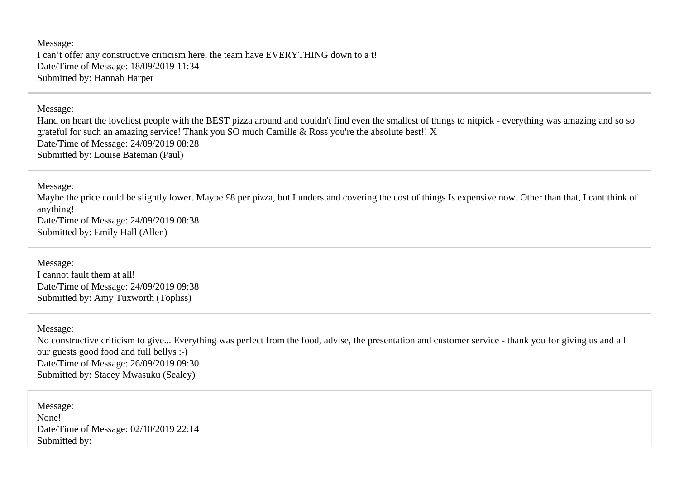Message: I can't offer any constructive criticism here, the team have EVERYTHING down to a t! Date/Time of Message: 18/09/2019 11:34 Submitted by: Hannah Harper

Message:

Hand on heart the loveliest people with the BEST pizza around and couldn't find even the smallest of things to nitpick - everything was amazing and so so grateful for such an amazing service! Thank you SO much Camille & Ross you're the absolute best!! X Date/Time of Message: 24/09/2019 08:28 Submitted by: Louise Bateman (Paul)

Message:

Maybe the price could be slightly lower. Maybe £8 per pizza, but I understand covering the cost of things Is expensive now. Other than that, I cant think of anything! Date/Time of Message: 24/09/2019 08:38 Submitted by: Emily Hall (Allen)

Message: I cannot fault them at all! Date/Time of Message: 24/09/2019 09:38 Submitted by: Amy Tuxworth (Topliss)

Message:

No constructive criticism to give... Everything was perfect from the food, advise, the presentation and customer service - thank you for giving us and all our guests good food and full bellys :-) Date/Time of Message: 26/09/2019 09:30 Submitted by: Stacey Mwasuku (Sealey)

Message: None! Date/Time of Message: 02/10/2019 22:14 Submitted by: